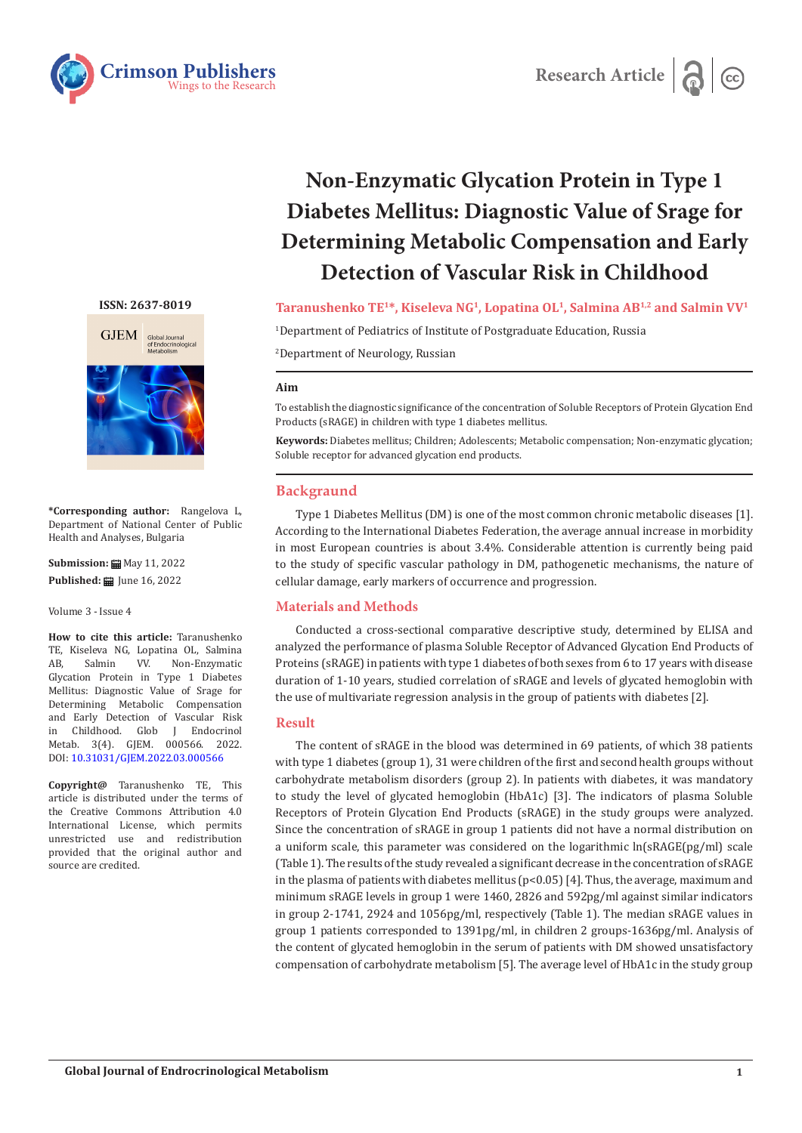



# **Non-Enzymatic Glycation Protein in Type 1 Diabetes Mellitus: Diagnostic Value of Srage for Determining Metabolic Compensation and Early Detection of Vascular Risk in Childhood**

**Taranushenko TE1\*, Kiseleva NG1, Lopatina OL1, Salmina AB1,2 and Salmin VV1**

1 Department of Pediatrics of Institute of Postgraduate Education, Russia

2 Department of Neurology, Russian

## **Aim**

To establish the diagnostic significance of the concentration of Soluble Receptors of Protein Glycation End Products (sRAGE) in children with type 1 diabetes mellitus.

**Keywords:** Diabetes mellitus; Children; Adolescents; Metabolic compensation; Non-enzymatic glycation; Soluble receptor for advanced glycation end products.

## **Backgraund**

Type 1 Diabetes Mellitus (DM) is one of the most common chronic metabolic diseases [1]. According to the International Diabetes Federation, the average annual increase in morbidity in most European countries is about 3.4%. Considerable attention is currently being paid to the study of specific vascular pathology in DM, pathogenetic mechanisms, the nature of cellular damage, early markers of occurrence and progression.

## **Materials and Methods**

Conducted a cross-sectional comparative descriptive study, determined by ELISA and analyzed the performance of plasma Soluble Receptor of Advanced Glycation End Products of Proteins (sRAGE) in patients with type 1 diabetes of both sexes from 6 to 17 years with disease duration of 1-10 years, studied correlation of sRAGE and levels of glycated hemoglobin with the use of multivariate regression analysis in the group of patients with diabetes [2].

## **Result**

The content of sRAGE in the blood was determined in 69 patients, of which 38 patients with type 1 diabetes (group 1), 31 were children of the first and second health groups without carbohydrate metabolism disorders (group 2). In patients with diabetes, it was mandatory to study the level of glycated hemoglobin (HbA1c) [3]. The indicators of plasma Soluble Receptors of Protein Glycation End Products (sRAGE) in the study groups were analyzed. Since the concentration of sRAGE in group 1 patients did not have a normal distribution on a uniform scale, this parameter was considered on the logarithmic  $ln(sRAGE(pg/ml)$  scale (Table 1). The results of the study revealed a significant decrease in the concentration of sRAGE in the plasma of patients with diabetes mellitus ( $p<0.05$ ) [4]. Thus, the average, maximum and minimum sRAGE levels in group 1 were 1460, 2826 and 592pg/ml against similar indicators in group 2-1741, 2924 and 1056pg/ml, respectively (Table 1). The median sRAGE values in group 1 patients corresponded to 1391pg/ml, in children 2 groups-1636pg/ml. Analysis of the content of glycated hemoglobin in the serum of patients with DM showed unsatisfactory compensation of carbohydrate metabolism [5]. The average level of HbA1c in the study group





**\*Corresponding author:** Rangelova L, Department of National Center of Public Health and Analyses, Bulgaria

**Submission:** May 11, 2022 **Published: iii** June 16, 2022

Volume 3 - Issue 4

**How to cite this article:** Taranushenko TE, Kiseleva NG, Lopatina OL, Salmina<br>AB, Salmin VV. Non-Enzymatic Non-Enzymatic Glycation Protein in Type 1 Diabetes Mellitus: Diagnostic Value of Srage for Determining Metabolic Compensation and Early Detection of Vascular Risk<br>in Childhood. Glob J Endocrinol Glob J Endocrinol Metab. 3(4). GJEM. 000566. 2022. DOI: [10.31031/GJEM.2022.03.000566](http://dx.doi.org/10.31031/GJEM.2022.03.000566)

**Copyright@** Taranushenko TE, This article is distributed under the terms of the Creative Commons Attribution 4.0 International License, which permits unrestricted use and redistribution provided that the original author and source are credited.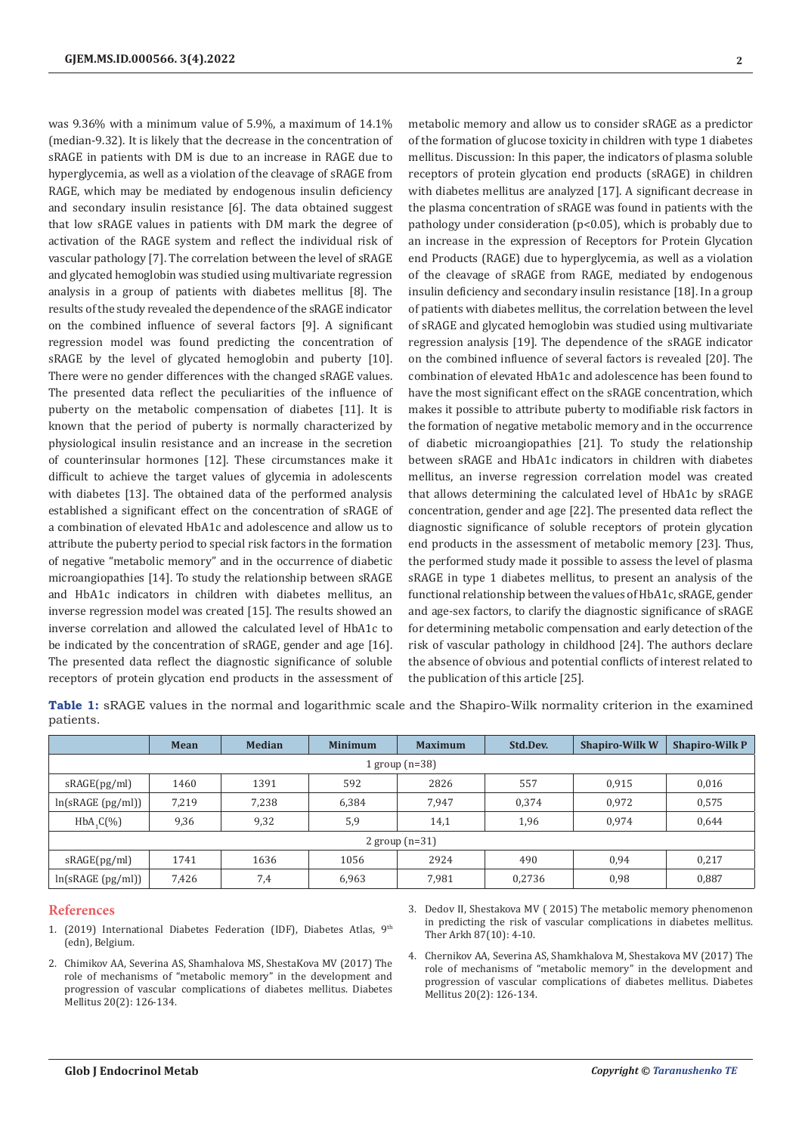was 9.36% with a minimum value of 5.9%, a maximum of 14.1% (median-9.32). It is likely that the decrease in the concentration of sRAGE in patients with DM is due to an increase in RAGE due to hyperglycemia, as well as a violation of the cleavage of sRAGE from RAGE, which may be mediated by endogenous insulin deficiency and secondary insulin resistance [6]. The data obtained suggest that low sRAGE values in patients with DM mark the degree of activation of the RAGE system and reflect the individual risk of vascular pathology [7]. The correlation between the level of sRAGE and glycated hemoglobin was studied using multivariate regression analysis in a group of patients with diabetes mellitus [8]. The results of the study revealed the dependence of the sRAGE indicator on the combined influence of several factors [9]. A significant regression model was found predicting the concentration of sRAGE by the level of glycated hemoglobin and puberty [10]. There were no gender differences with the changed sRAGE values. The presented data reflect the peculiarities of the influence of puberty on the metabolic compensation of diabetes [11]. It is known that the period of puberty is normally characterized by physiological insulin resistance and an increase in the secretion of counterinsular hormones [12]. These circumstances make it difficult to achieve the target values of glycemia in adolescents with diabetes [13]. The obtained data of the performed analysis established a significant effect on the concentration of sRAGE of a combination of elevated HbA1c and adolescence and allow us to attribute the puberty period to special risk factors in the formation of negative "metabolic memory" and in the occurrence of diabetic microangiopathies [14]. To study the relationship between sRAGE and HbA1c indicators in children with diabetes mellitus, an inverse regression model was created [15]. The results showed an inverse correlation and allowed the calculated level of HbA1c to be indicated by the concentration of sRAGE, gender and age [16]. The presented data reflect the diagnostic significance of soluble receptors of protein glycation end products in the assessment of

metabolic memory and allow us to consider sRAGE as a predictor of the formation of glucose toxicity in children with type 1 diabetes mellitus. Discussion: In this paper, the indicators of plasma soluble receptors of protein glycation end products (sRAGE) in children with diabetes mellitus are analyzed [17]. A significant decrease in the plasma concentration of sRAGE was found in patients with the pathology under consideration (p<0.05), which is probably due to an increase in the expression of Receptors for Protein Glycation end Products (RAGE) due to hyperglycemia, as well as a violation of the cleavage of sRAGE from RAGE, mediated by endogenous insulin deficiency and secondary insulin resistance [18]. In a group of patients with diabetes mellitus, the correlation between the level of sRAGE and glycated hemoglobin was studied using multivariate regression analysis [19]. The dependence of the sRAGE indicator on the combined influence of several factors is revealed [20]. The combination of elevated HbA1c and adolescence has been found to have the most significant effect on the sRAGE concentration, which makes it possible to attribute puberty to modifiable risk factors in the formation of negative metabolic memory and in the occurrence of diabetic microangiopathies [21]. To study the relationship between sRAGE and HbA1c indicators in children with diabetes mellitus, an inverse regression correlation model was created that allows determining the calculated level of HbA1c by sRAGE concentration, gender and age [22]. The presented data reflect the diagnostic significance of soluble receptors of protein glycation end products in the assessment of metabolic memory [23]. Thus, the performed study made it possible to assess the level of plasma sRAGE in type 1 diabetes mellitus, to present an analysis of the functional relationship between the values of HbA1c, sRAGE, gender and age-sex factors, to clarify the diagnostic significance of sRAGE for determining metabolic compensation and early detection of the risk of vascular pathology in childhood [24]. The authors declare the absence of obvious and potential conflicts of interest related to the publication of this article [25].

**Table 1:** sRAGE values in the normal and logarithmic scale and the Shapiro-Wilk normality criterion in the examined patients.

|                  | Mean  | <b>Median</b> | <b>Minimum</b> | <b>Maximum</b> | Std.Dev. | <b>Shapiro-Wilk W</b> | <b>Shapiro-Wilk P</b> |
|------------------|-------|---------------|----------------|----------------|----------|-----------------------|-----------------------|
| 1 group $(n=38)$ |       |               |                |                |          |                       |                       |
| sRAGE(pg/ml)     | 1460  | 1391          | 592            | 2826           | 557      | 0.915                 | 0,016                 |
| ln(sRAGE(pg/ml)) | 7,219 | 7,238         | 6.384          | 7,947          | 0.374    | 0.972                 | 0,575                 |
| $HbA, C(\%)$     | 9,36  | 9,32          | 5,9            | 14,1           | 1,96     | 0,974                 | 0,644                 |
| 2 group $(n=31)$ |       |               |                |                |          |                       |                       |
| sRAGE(pg/ml)     | 1741  | 1636          | 1056           | 2924           | 490      | 0,94                  | 0,217                 |
| ln(sRAGE(pg/ml)) | 7,426 | 7,4           | 6,963          | 7,981          | 0,2736   | 0,98                  | 0,887                 |

#### **References**

- 1. (2019) International Diabetes Federation (IDF), Diabetes Atlas, 9th (edn), Belgium.
- 2. [Chimikov AA, Severina AS, Shamhalova MS, ShestaKova MV \(2017\) The](https://www.dia-endojournals.ru/jour/article/view/8684?locale=en_US)  [role of mechanisms of "metabolic memory" in the development and](https://www.dia-endojournals.ru/jour/article/view/8684?locale=en_US)  [progression of vascular complications of diabetes mellitus. Diabetes](https://www.dia-endojournals.ru/jour/article/view/8684?locale=en_US)  [Mellitus 20\(2\): 126-134.](https://www.dia-endojournals.ru/jour/article/view/8684?locale=en_US)

3. [Dedov II, Shestakova MV \( 2015\) The metabolic memory phenomenon](https://pubmed.ncbi.nlm.nih.gov/26978167/) [in predicting the risk of vascular complications in diabetes mellitus.](https://pubmed.ncbi.nlm.nih.gov/26978167/) [Ther Arkh 87\(10\): 4-10.](https://pubmed.ncbi.nlm.nih.gov/26978167/)

4. Chernikov AA, Severina AS, Shamkhalova M, Shestakova MV (2017) The role of mechanisms of "metabolic memory" in the development and progression of vascular complications of diabetes mellitus. Diabetes Mellitus 20(2): 126-134.